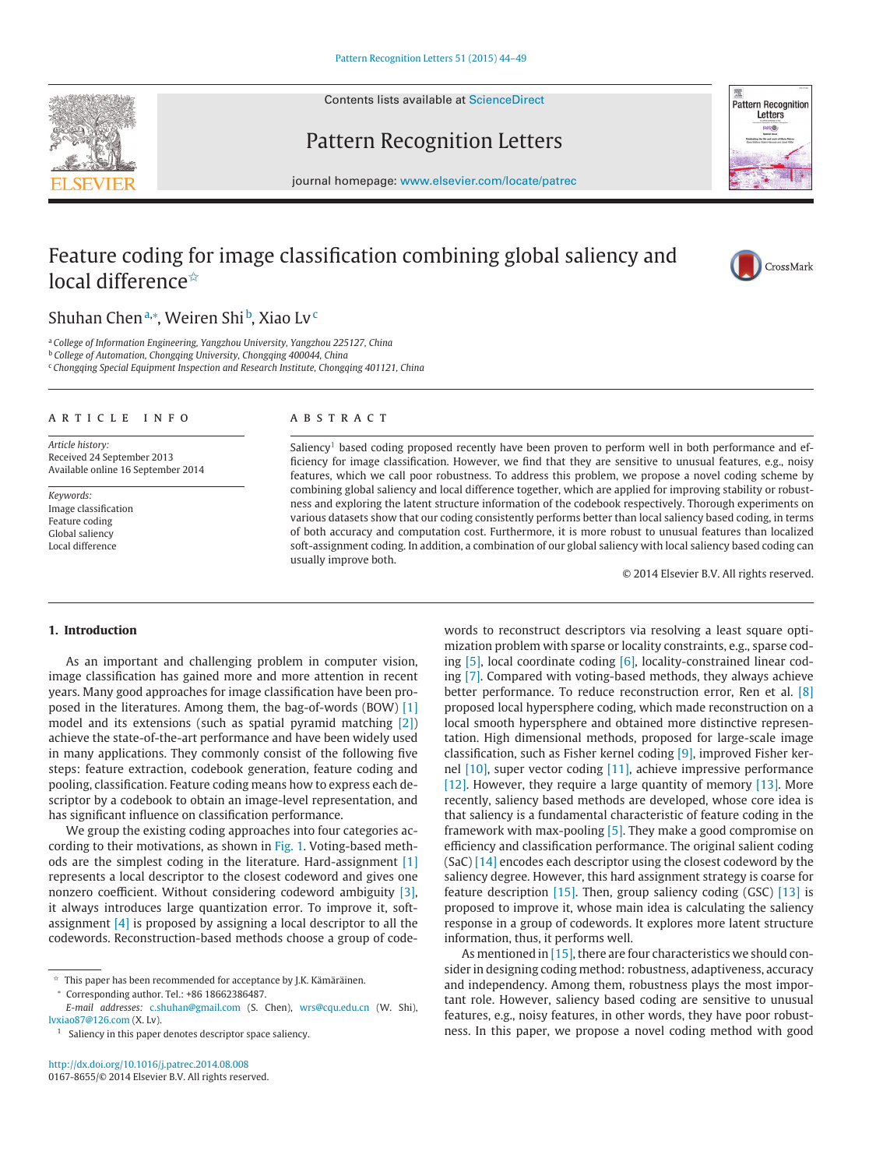Contents lists available at [ScienceDirect](http://www.ScienceDirect.com)





Pattern Recognition Letters

journal homepage: [www.elsevier.com/locate/patrec](http://www.elsevier.com/locate/patrec)

# Feature coding for image classification combining global saliency and local difference<sup>☆</sup>



Shuhan Chenª<sub>\*</sub>, Weiren Shi<sup>b</sup>, Xiao Lv<sup>c</sup>

<sup>a</sup> *College of Information Engineering, Yangzhou University, Yangzhou 225127, China*

<sup>b</sup> *College of Automation, Chongqing University, Chongqing 400044, China*

<sup>c</sup> *Chongqing Special Equipment Inspection and Research Institute, Chongqing 401121, China*

#### article info

*Article history:* Received 24 September 2013 Available online 16 September 2014

*Keywords:* Image classification Feature coding Global saliency Local difference

#### ABSTRACT

Saliency<sup>1</sup> based coding proposed recently have been proven to perform well in both performance and efficiency for image classification. However, we find that they are sensitive to unusual features, e.g., noisy features, which we call poor robustness. To address this problem, we propose a novel coding scheme by combining global saliency and local difference together, which are applied for improving stability or robustness and exploring the latent structure information of the codebook respectively. Thorough experiments on various datasets show that our coding consistently performs better than local saliency based coding, in terms of both accuracy and computation cost. Furthermore, it is more robust to unusual features than localized soft-assignment coding. In addition, a combination of our global saliency with local saliency based coding can usually improve both.

© 2014 Elsevier B.V. All rights reserved.

# **1. Introduction**

As an important and challenging problem in computer vision, image classification has gained more and more attention in recent years. Many good approaches for image classification have been proposed in the literatures. Among them, the bag-of-words (BOW) [\[1\]](#page-4-0) model and its extensions (such as spatial pyramid matching [\[2\]\)](#page-4-0) achieve the state-of-the-art performance and have been widely used in many applications. They commonly consist of the following five steps: feature extraction, codebook generation, feature coding and pooling, classification. Feature coding means how to express each descriptor by a codebook to obtain an image-level representation, and has significant influence on classification performance.

We group the existing coding approaches into four categories according to their motivations, as shown in [Fig. 1.](#page-1-0) Voting-based methods are the simplest coding in the literature. Hard-assignment [\[1\]](#page-4-0) represents a local descriptor to the closest codeword and gives one nonzero coefficient. Without considering codeword ambiguity [\[3\],](#page-4-0) it always introduces large quantization error. To improve it, softassignment [\[4\]](#page-4-0) is proposed by assigning a local descriptor to all the codewords. Reconstruction-based methods choose a group of code-

<sup>∗</sup> Corresponding author. Tel.: +86 18662386487.

words to reconstruct descriptors via resolving a least square optimization problem with sparse or locality constraints, e.g., sparse coding  $[5]$ , local coordinate coding  $[6]$ , locality-constrained linear coding [\[7\].](#page-5-0) Compared with voting-based methods, they always achieve better performance. To reduce reconstruction error, Ren et al. [\[8\]](#page-5-0) proposed local hypersphere coding, which made reconstruction on a local smooth hypersphere and obtained more distinctive representation. High dimensional methods, proposed for large-scale image classification, such as Fisher kernel coding [\[9\],](#page-5-0) improved Fisher kernel [\[10\],](#page-5-0) super vector coding [\[11\],](#page-5-0) achieve impressive performance [\[12\].](#page-5-0) However, they require a large quantity of memory [\[13\].](#page-5-0) More recently, saliency based methods are developed, whose core idea is that saliency is a fundamental characteristic of feature coding in the framework with max-pooling [\[5\].](#page-4-0) They make a good compromise on efficiency and classification performance. The original salient coding (SaC) [\[14\]](#page-5-0) encodes each descriptor using the closest codeword by the saliency degree. However, this hard assignment strategy is coarse for feature description [\[15\].](#page-5-0) Then, group saliency coding (GSC) [\[13\]](#page-5-0) is proposed to improve it, whose main idea is calculating the saliency response in a group of codewords. It explores more latent structure information, thus, it performs well.

As mentioned in [\[15\],](#page-5-0) there are four characteristics we should consider in designing coding method: robustness, adaptiveness, accuracy and independency. Among them, robustness plays the most important role. However, saliency based coding are sensitive to unusual features, e.g., noisy features, in other words, they have poor robustness. In this paper, we propose a novel coding method with good

 $\star$  This paper has been recommended for acceptance by J.K. Kämäräinen.

*E-mail addresses:* [c.shuhan@gmail.com](mailto:c.shuhan@gmail.com) (S. Chen), [wrs@cqu.edu.cn](mailto:wrs@cqu.edu.cn) (W. Shi), [lvxiao87@126.com](mailto:lvxiao87@126.com) (X. Lv).

<sup>&</sup>lt;sup>1</sup> Saliency in this paper denotes descriptor space saliency.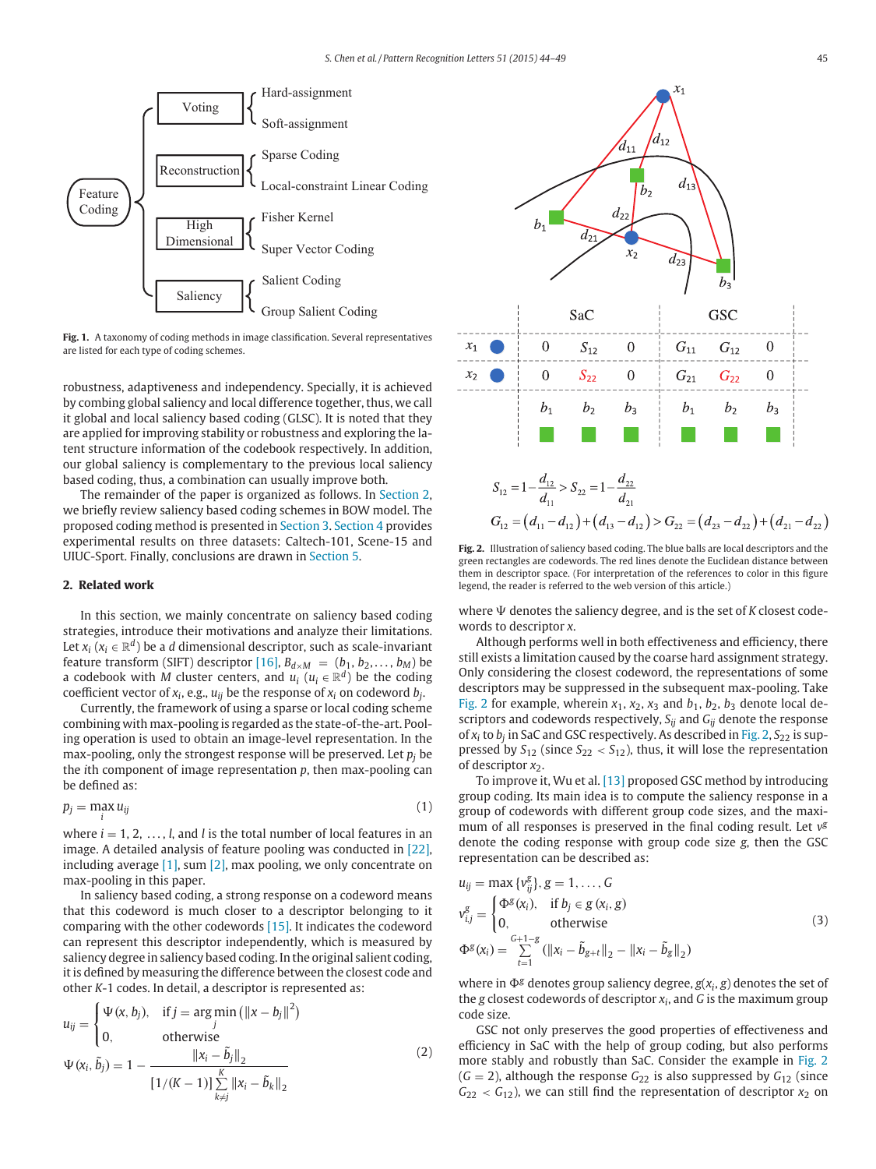<span id="page-1-0"></span>

**Fig. 1.** A taxonomy of coding methods in image classification. Several representatives are listed for each type of coding schemes.

robustness, adaptiveness and independency. Specially, it is achieved by combing global saliency and local difference together, thus, we call it global and local saliency based coding (GLSC). It is noted that they are applied for improving stability or robustness and exploring the latent structure information of the codebook respectively. In addition, our global saliency is complementary to the previous local saliency based coding, thus, a combination can usually improve both.

The remainder of the paper is organized as follows. In Section 2, we briefly review saliency based coding schemes in BOW model. The proposed coding method is presented in [Section 3.](#page-2-0) [Section 4](#page-3-0) provides experimental results on three datasets: Caltech-101, Scene-15 and UIUC-Sport. Finally, conclusions are drawn in [Section 5.](#page-4-0)

# **2. Related work**

In this section, we mainly concentrate on saliency based coding strategies, introduce their motivations and analyze their limitations. Let  $x_i$  ( $x_i \in \mathbb{R}^d$ ) be a *d* dimensional descriptor, such as scale-invariant feature transform (SIFT) descriptor [\[16\],](#page-5-0)  $B_{d \times M} = (b_1, b_2, \ldots, b_M)$  be a codebook with *M* cluster centers, and  $u_i$  ( $u_i \in \mathbb{R}^d$ ) be the coding coefficient vector of  $x_i$ , e.g.,  $u_{ij}$  be the response of  $x_i$  on codeword  $b_j$ .

Currently, the framework of using a sparse or local coding scheme combining with max-pooling is regarded as the state-of-the-art. Pooling operation is used to obtain an image-level representation. In the max-pooling, only the strongest response will be preserved. Let *pj* be the *i*th component of image representation *p*, then max-pooling can be defined as:

$$
p_j = \max_i u_{ij} \tag{1}
$$

where  $i = 1, 2, \ldots, l$ , and *l* is the total number of local features in an image. A detailed analysis of feature pooling was conducted in [\[22\],](#page-5-0) including average [\[1\],](#page-4-0) sum [\[2\],](#page-4-0) max pooling, we only concentrate on max-pooling in this paper.

In saliency based coding, a strong response on a codeword means that this codeword is much closer to a descriptor belonging to it comparing with the other codewords [\[15\].](#page-5-0) It indicates the codeword can represent this descriptor independently, which is measured by saliency degree in saliency based coding. In the original salient coding, it is defined by measuring the difference between the closest code and other *K*-1 codes. In detail, a descriptor is represented as:

$$
u_{ij} = \begin{cases} \Psi(x, b_j), & \text{if } j = \arg \min_j \left( ||x - b_j||^2 \right) \\ 0, & \text{otherwise} \end{cases}
$$
  

$$
\Psi(x_i, \tilde{b}_j) = 1 - \frac{||x_i - \tilde{b}_j||_2}{\left[ 1/(K - 1) \right] \sum_{k \neq j}^{K} ||x_i - \tilde{b}_k||_2}
$$
 (2)



**Fig. 2.** Illustration of saliency based coding. The blue balls are local descriptors and the green rectangles are codewords. The red lines denote the Euclidean distance between them in descriptor space. (For interpretation of the references to color in this figure legend, the reader is referred to the web version of this article.)

where  $\Psi$  denotes the saliency degree, and is the set of *K* closest codewords to descriptor *x*.

Although performs well in both effectiveness and efficiency, there still exists a limitation caused by the coarse hard assignment strategy. Only considering the closest codeword, the representations of some descriptors may be suppressed in the subsequent max-pooling. Take Fig. 2 for example, wherein  $x_1$ ,  $x_2$ ,  $x_3$  and  $b_1$ ,  $b_2$ ,  $b_3$  denote local descriptors and codewords respectively, *Sij* and *Gij* denote the response of  $x_i$  to  $b_i$  in SaC and GSC respectively. As described in Fig. 2,  $S_{22}$  is suppressed by  $S_{12}$  (since  $S_{22} < S_{12}$ ), thus, it will lose the representation of descriptor  $x_2$ .

To improve it, Wu et al. [\[13\]](#page-5-0) proposed GSC method by introducing group coding. Its main idea is to compute the saliency response in a group of codewords with different group code sizes, and the maximum of all responses is preserved in the final coding result. Let *v<sup>g</sup>* denote the coding response with group code size *g*, then the GSC representation can be described as:

$$
u_{ij} = \max \{v_{ij}^g\}, g = 1, ..., G
$$
  
\n
$$
v_{i,j}^g = \begin{cases} \Phi^g(x_i), & \text{if } b_j \in g(x_i, g) \\ 0, & \text{otherwise} \end{cases}
$$
  
\n
$$
\Phi^g(x_i) = \sum_{t=1}^{G+1-g} (\|x_i - \tilde{b}_{g+t}\|_2 - \|x_i - \tilde{b}_g\|_2)
$$
\n(3)

where in  $\Phi$ <sup>g</sup> denotes group saliency degree,  $g(x_i, g)$  denotes the set of the *g* closest codewords of descriptor *xi*, and *G* is the maximum group code size.

GSC not only preserves the good properties of effectiveness and efficiency in SaC with the help of group coding, but also performs more stably and robustly than SaC. Consider the example in Fig. 2  $(G = 2)$ , although the response  $G_{22}$  is also suppressed by  $G_{12}$  (since  $G_{22} < G_{12}$ ), we can still find the representation of descriptor  $x_2$  on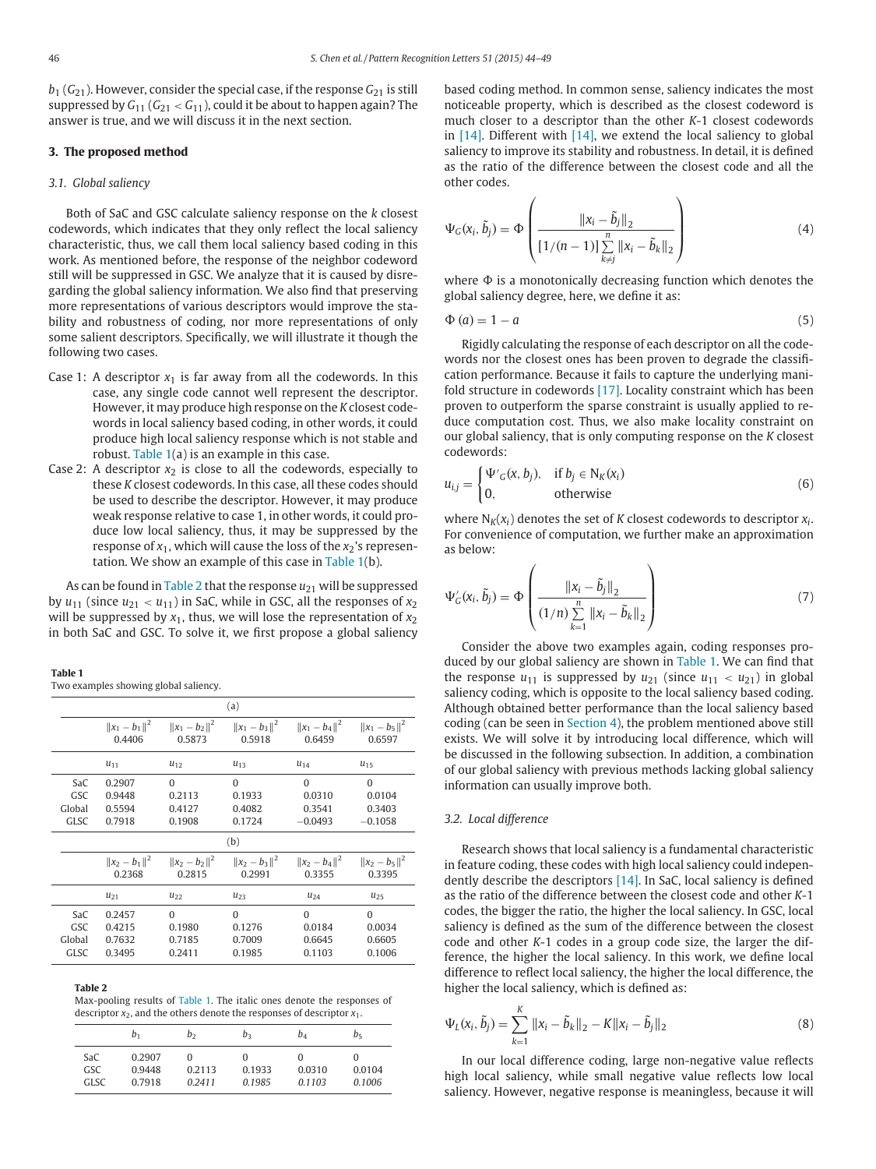<span id="page-2-0"></span> $b_1$  ( $G_{21}$ ). However, consider the special case, if the response  $G_{21}$  is still suppressed by  $G_{11}$  ( $G_{21}$  <  $G_{11}$ ), could it be about to happen again? The answer is true, and we will discuss it in the next section.

### **3. The proposed method**

### *3.1. Global saliency*

Both of SaC and GSC calculate saliency response on the *k* closest codewords, which indicates that they only reflect the local saliency characteristic, thus, we call them local saliency based coding in this work. As mentioned before, the response of the neighbor codeword still will be suppressed in GSC. We analyze that it is caused by disregarding the global saliency information. We also find that preserving more representations of various descriptors would improve the stability and robustness of coding, nor more representations of only some salient descriptors. Specifically, we will illustrate it though the following two cases.

- Case 1: A descriptor  $x_1$  is far away from all the codewords. In this case, any single code cannot well represent the descriptor. However, it may produce high response on the *K* closest codewords in local saliency based coding, in other words, it could produce high local saliency response which is not stable and robust. Table 1(a) is an example in this case.
- Case 2: A descriptor  $x_2$  is close to all the codewords, especially to these *K* closest codewords. In this case, all these codes should be used to describe the descriptor. However, it may produce weak response relative to case 1, in other words, it could produce low local saliency, thus, it may be suppressed by the response of  $x_1$ , which will cause the loss of the  $x_2$ 's representation. We show an example of this case in Table 1(b).

As can be found in Table 2 that the response  $u_{21}$  will be suppressed by  $u_{11}$  (since  $u_{21} < u_{11}$ ) in SaC, while in GSC, all the responses of  $x_2$ will be suppressed by  $x_1$ , thus, we will lose the representation of  $x_2$ in both SaC and GSC. To solve it, we first propose a global saliency

#### **Table 1**

Two examples showing global saliency.

| (a)    |                             |          |                                                                 |                             |                             |  |  |
|--------|-----------------------------|----------|-----------------------------------------------------------------|-----------------------------|-----------------------------|--|--|
|        | 0.4406                      | 0.5873   | $  x_1 - b_1  ^2$ $  x_1 - b_2  ^2$ $  x_1 - b_3  ^2$<br>0.5918 | $  x_1 - b_4  ^2$<br>0.6459 | $  x_1 - b_5  ^2$<br>0.6597 |  |  |
|        | $u_{11}$                    | $u_{12}$ | $u_{13}$                                                        | $u_{14}$                    | $u_{15}$                    |  |  |
| SaC    | 0.2907                      | $\Omega$ | $\Omega$                                                        | $\Omega$                    | $\theta$                    |  |  |
| GSC    | 0.9448                      | 0.2113   | 0.1933                                                          | 0.0310                      | 0.0104                      |  |  |
| Global | 0.5594                      | 0.4127   | 0.4082                                                          | 0.3541                      | 0.3403                      |  |  |
| GLSC   | 0.7918                      | 0.1908   | 0.1724                                                          | $-0.0493$                   | $-0.1058$                   |  |  |
| (b)    |                             |          |                                                                 |                             |                             |  |  |
|        | $  x_2 - b_1  ^2$<br>0.2368 | 0.2815   | $\ x_2 - b_2\ ^2$ $\ x_2 - b_3\ ^2$<br>0.2991                   | $  x_2 - b_4  ^2$<br>0.3355 | $  x_2 - b_5  ^2$<br>0.3395 |  |  |
|        | $u_{21}$                    | $u_{22}$ | $u_{23}$                                                        | $u_{24}$                    | $u_{25}$                    |  |  |
| SaC    | 0.2457                      | $\Omega$ | $\Omega$                                                        | $\Omega$                    | $\Omega$                    |  |  |
| GSC    | 0.4215                      | 0.1980   | 0.1276                                                          | 0.0184                      | 0.0034                      |  |  |
| Global | 0.7632                      | 0.7185   | 0.7009                                                          | 0.6645                      | 0.6605                      |  |  |
| GLSC   | 0.3495                      | 0.2411   | 0.1985                                                          | 0.1103                      | 0.1006                      |  |  |

#### **Table 2**

Max-pooling results of Table 1. The italic ones denote the responses of descriptor  $x_2$ , and the others denote the responses of descriptor  $x_1$ .

|                           | $b_1$                      | b2               | bз                    | bд                         | b <sub>5</sub>             |
|---------------------------|----------------------------|------------------|-----------------------|----------------------------|----------------------------|
| SaC<br>GSC<br><b>GLSC</b> | 0.2907<br>0.9448<br>0.7918 | 0.2113<br>0 2411 | 0<br>0.1933<br>0.1985 | $_{0}$<br>0.0310<br>0.1103 | $\cup$<br>0.0104<br>0.1006 |

based coding method. In common sense, saliency indicates the most noticeable property, which is described as the closest codeword is much closer to a descriptor than the other *K*-1 closest codewords in [\[14\].](#page-5-0) Different with [\[14\],](#page-5-0) we extend the local saliency to global saliency to improve its stability and robustness. In detail, it is defined as the ratio of the difference between the closest code and all the other codes.

$$
\Psi_G(x_i, \tilde{b}_j) = \Phi\left(\frac{\|x_i - \tilde{b}_j\|_2}{\left[1/(n-1)\right] \sum_{k \neq j}^n \|x_i - \tilde{b}_k\|_2}\right)
$$
(4)

where  $\Phi$  is a monotonically decreasing function which denotes the global saliency degree, here, we define it as:

$$
\Phi(a) = 1 - a \tag{5}
$$

Rigidly calculating the response of each descriptor on all the codewords nor the closest ones has been proven to degrade the classification performance. Because it fails to capture the underlying manifold structure in codewords [\[17\].](#page-5-0) Locality constraint which has been proven to outperform the sparse constraint is usually applied to reduce computation cost. Thus, we also make locality constraint on our global saliency, that is only computing response on the *K* closest codewords:

$$
u_{i,j} = \begin{cases} \Psi'_{G}(x, b_j), & \text{if } b_j \in N_K(x_i) \\ 0, & \text{otherwise} \end{cases}
$$
(6)

where  $N_K(x_i)$  denotes the set of *K* closest codewords to descriptor  $x_i$ . For convenience of computation, we further make an approximation as below:

$$
\Psi'_{G}(x_{i}, \tilde{b}_{j}) = \Phi\left(\frac{\|x_{i} - \tilde{b}_{j}\|_{2}}{(1/n) \sum_{k=1}^{n} \|x_{i} - \tilde{b}_{k}\|_{2}}\right)
$$
(7)

Consider the above two examples again, coding responses produced by our global saliency are shown in Table 1. We can find that the response  $u_{11}$  is suppressed by  $u_{21}$  (since  $u_{11} < u_{21}$ ) in global saliency coding, which is opposite to the local saliency based coding. Although obtained better performance than the local saliency based coding (can be seen in [Section 4\)](#page-3-0), the problem mentioned above still exists. We will solve it by introducing local difference, which will be discussed in the following subsection. In addition, a combination of our global saliency with previous methods lacking global saliency information can usually improve both.

# *3.2. Local difference*

Research shows that local saliency is a fundamental characteristic in feature coding, these codes with high local saliency could independently describe the descriptors [\[14\].](#page-5-0) In SaC, local saliency is defined as the ratio of the difference between the closest code and other *K*-1 codes, the bigger the ratio, the higher the local saliency. In GSC, local saliency is defined as the sum of the difference between the closest code and other *K*-1 codes in a group code size, the larger the difference, the higher the local saliency. In this work, we define local difference to reflect local saliency, the higher the local difference, the higher the local saliency, which is defined as:

$$
\Psi_L(x_i, \tilde{b}_j) = \sum_{k=1}^K \|x_i - \tilde{b}_k\|_2 - K\|x_i - \tilde{b}_j\|_2
$$
\n(8)

In our local difference coding, large non-negative value reflects high local saliency, while small negative value reflects low local saliency. However, negative response is meaningless, because it will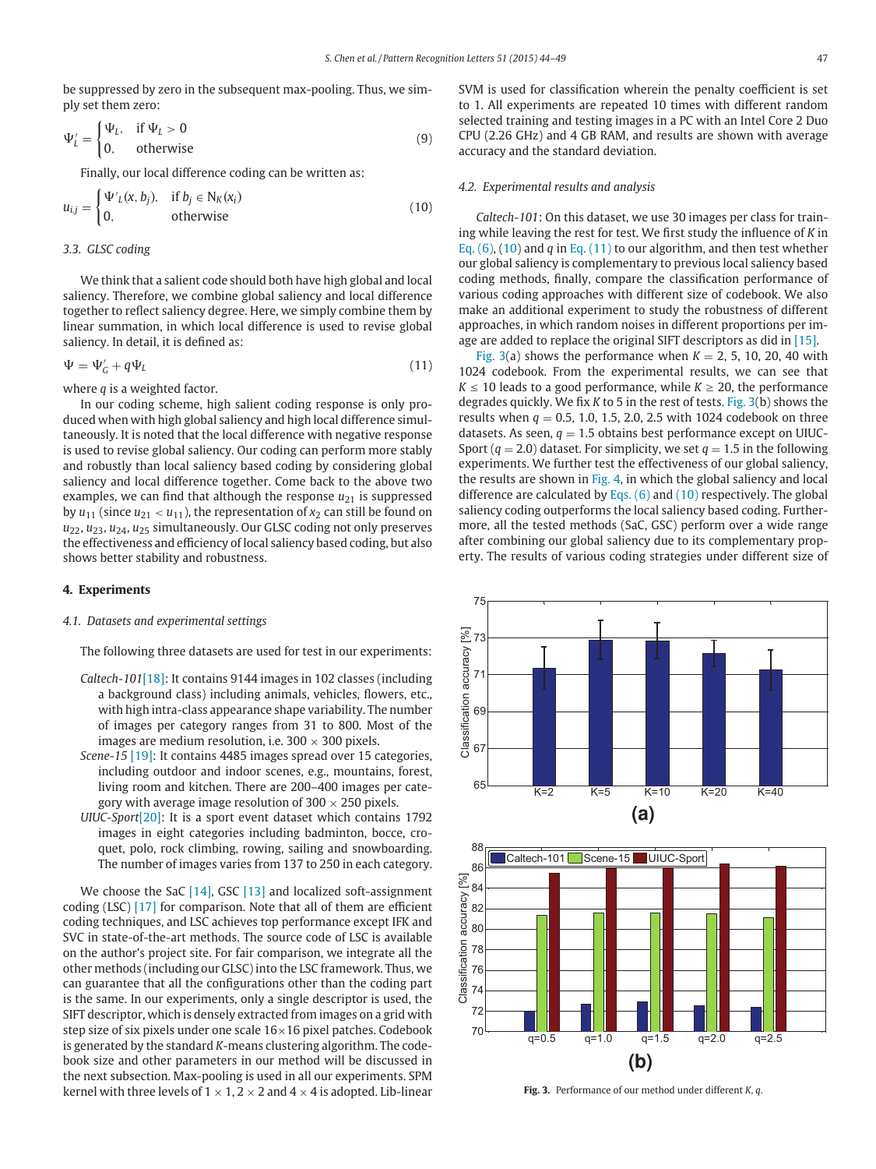<span id="page-3-0"></span>be suppressed by zero in the subsequent max-pooling. Thus, we simply set them zero:

$$
\Psi'_{L} = \begin{cases} \Psi_{L}, & \text{if } \Psi_{L} > 0 \\ 0, & \text{otherwise} \end{cases}
$$
 (9)

Finally, our local difference coding can be written as:

$$
u_{i,j} = \begin{cases} \Psi'_{L}(x, b_{j}), & \text{if } b_{j} \in N_{K}(x_{i}) \\ 0, & \text{otherwise} \end{cases}
$$
(10)

# *3.3. GLSC coding*

We think that a salient code should both have high global and local saliency. Therefore, we combine global saliency and local difference together to reflect saliency degree. Here, we simply combine them by linear summation, in which local difference is used to revise global saliency. In detail, it is defined as:

$$
\Psi = \Psi'_{G} + q\Psi_{L} \tag{11}
$$

where *q* is a weighted factor.

In our coding scheme, high salient coding response is only produced when with high global saliency and high local difference simultaneously. It is noted that the local difference with negative response is used to revise global saliency. Our coding can perform more stably and robustly than local saliency based coding by considering global saliency and local difference together. Come back to the above two examples, we can find that although the response  $u_{21}$  is suppressed by  $u_{11}$  (since  $u_{21} < u_{11}$ ), the representation of  $x_2$  can still be found on *u*22, *u*23, *u*24, *u*<sup>25</sup> simultaneously. Our GLSC coding not only preserves the effectiveness and efficiency of local saliency based coding, but also shows better stability and robustness.

# **4. Experiments**

# *4.1. Datasets and experimental settings*

The following three datasets are used for test in our experiments:

- *Caltech-101*[\[18\]:](#page-5-0) It contains 9144 images in 102 classes (including a background class) including animals, vehicles, flowers, etc., with high intra-class appearance shape variability. The number of images per category ranges from 31 to 800. Most of the images are medium resolution, i.e.  $300 \times 300$  pixels.
- *Scene-15* [\[19\]:](#page-5-0) It contains 4485 images spread over 15 categories, including outdoor and indoor scenes, e.g., mountains, forest, living room and kitchen. There are 200–400 images per category with average image resolution of  $300 \times 250$  pixels.
- *UIUC-Sport*[\[20\]:](#page-5-0) It is a sport event dataset which contains 1792 images in eight categories including badminton, bocce, croquet, polo, rock climbing, rowing, sailing and snowboarding. The number of images varies from 137 to 250 in each category.

We choose the SaC  $[14]$ , GSC  $[13]$  and localized soft-assignment coding (LSC) [\[17\]](#page-5-0) for comparison. Note that all of them are efficient coding techniques, and LSC achieves top performance except IFK and SVC in state-of-the-art methods. The source code of LSC is available on the author's project site. For fair comparison, we integrate all the other methods (including our GLSC) into the LSC framework. Thus, we can guarantee that all the configurations other than the coding part is the same. In our experiments, only a single descriptor is used, the SIFT descriptor, which is densely extracted from images on a grid with step size of six pixels under one scale 16×16 pixel patches. Codebook is generated by the standard *K*-means clustering algorithm. The codebook size and other parameters in our method will be discussed in the next subsection. Max-pooling is used in all our experiments. SPM kernel with three levels of  $1 \times 1$ ,  $2 \times 2$  and  $4 \times 4$  is adopted. Lib-linear

SVM is used for classification wherein the penalty coefficient is set to 1. All experiments are repeated 10 times with different random selected training and testing images in a PC with an Intel Core 2 Duo CPU (2.26 GHz) and 4 GB RAM, and results are shown with average accuracy and the standard deviation.

#### *4.2. Experimental results and analysis*

*Caltech-101*: On this dataset, we use 30 images per class for training while leaving the rest for test. We first study the influence of *K* in [Eq. \(6\),](#page-2-0) (10) and *q* in Eq. (11) to our algorithm, and then test whether our global saliency is complementary to previous local saliency based coding methods, finally, compare the classification performance of various coding approaches with different size of codebook. We also make an additional experiment to study the robustness of different approaches, in which random noises in different proportions per image are added to replace the original SIFT descriptors as did in [\[15\].](#page-5-0)

Fig. 3(a) shows the performance when  $K = 2, 5, 10, 20, 40$  with 1024 codebook. From the experimental results, we can see that  $K \leq 10$  leads to a good performance, while  $K \geq 20$ , the performance degrades quickly. We fix *K* to 5 in the rest of tests. Fig. 3(b) shows the results when  $q = 0.5, 1.0, 1.5, 2.0, 2.5$  with 1024 codebook on three datasets. As seen,  $q = 1.5$  obtains best performance except on UIUC-Sport ( $q = 2.0$ ) dataset. For simplicity, we set  $q = 1.5$  in the following experiments. We further test the effectiveness of our global saliency, the results are shown in [Fig. 4,](#page-4-0) in which the global saliency and local difference are calculated by Eqs.  $(6)$  and  $(10)$  respectively. The global saliency coding outperforms the local saliency based coding. Furthermore, all the tested methods (SaC, GSC) perform over a wide range after combining our global saliency due to its complementary property. The results of various coding strategies under different size of



**Fig. 3.** Performance of our method under different *K*, *q*.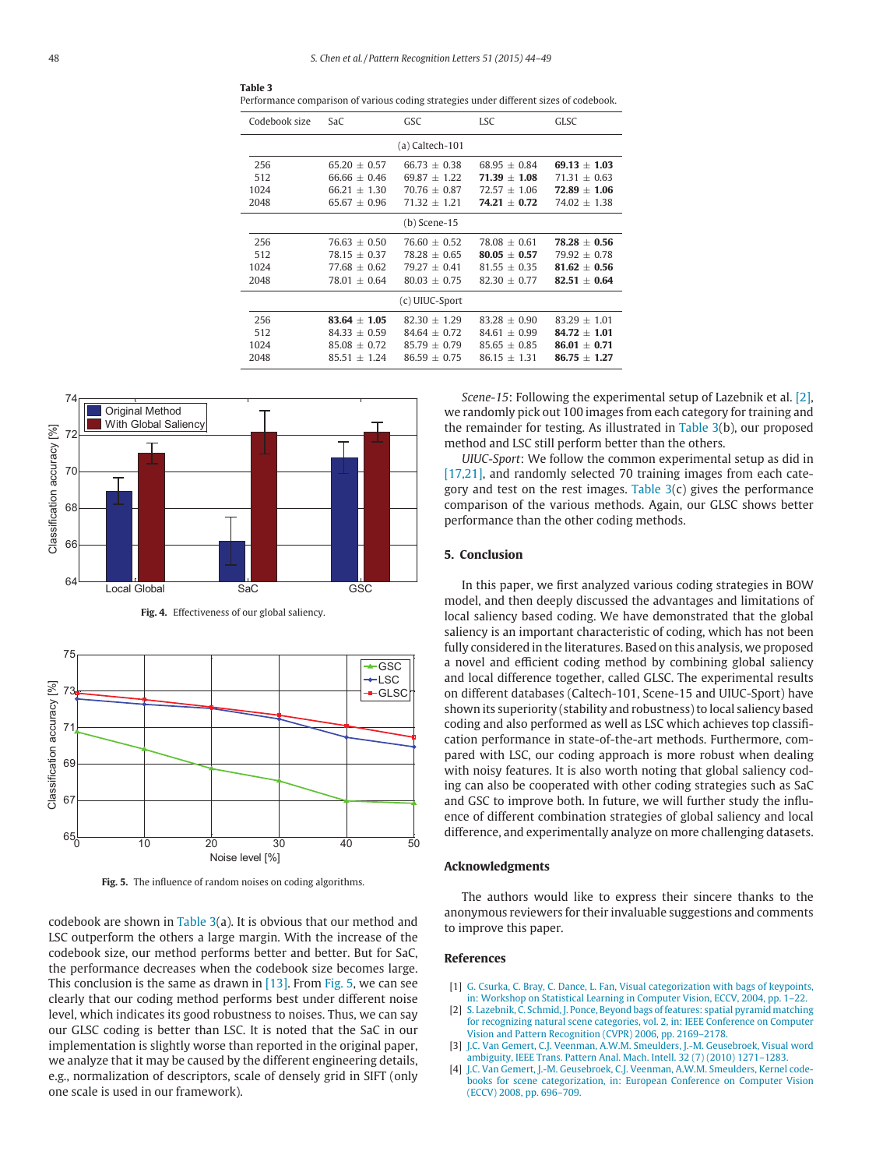| Codebook size  | SaC              | GSC              | <b>ISC</b>       | GLSC             |  |  |
|----------------|------------------|------------------|------------------|------------------|--|--|
|                |                  | (a) Caltech-101  |                  |                  |  |  |
| 256            | $65.20 \pm 0.57$ | $66.73 + 0.38$   | $68.95 \pm 0.84$ | $69.13 + 1.03$   |  |  |
| 512            | $66.66 \pm 0.46$ | $69.87 + 1.22$   | $71.39 + 1.08$   | $71.31 + 0.63$   |  |  |
| 1024           | $66.21 + 1.30$   | $70.76 + 0.87$   | $72.57 \pm 1.06$ | $72.89 + 1.06$   |  |  |
| 2048           | $65.67 + 0.96$   | $71.32 + 1.21$   | $74.21 + 0.72$   | $74.02 + 1.38$   |  |  |
| (b) Scene-15   |                  |                  |                  |                  |  |  |
| 256            | $76.63 + 0.50$   | $76.60 + 0.52$   | $78.08 + 0.61$   | $78.28 \pm 0.56$ |  |  |
| 512            | $78.15 + 0.37$   | $78.28 + 0.65$   | $80.05 + 0.57$   | $79.92 + 0.78$   |  |  |
| 1024           | $77.68 \pm 0.62$ | $79.27 \pm 0.41$ | $81.55 + 0.35$   | $81.62 + 0.56$   |  |  |
| 2048           | $78.01 \pm 0.64$ | $80.03 + 0.75$   | $82.30 \pm 0.77$ | $82.51 \pm 0.64$ |  |  |
| (c) UIUC-Sport |                  |                  |                  |                  |  |  |
| 256            | $83.64 + 1.05$   | $82.30 + 1.29$   | $83.28 + 0.90$   | $83.29 + 1.01$   |  |  |
| 512            | $84.33 + 0.59$   | $84.64 + 0.72$   | $84.61 + 0.99$   | $84.72 + 1.01$   |  |  |
| 1024           | $85.08 + 0.72$   | $85.79 + 0.79$   | $85.65 + 0.85$   | $86.01 + 0.71$   |  |  |
| 2048           | $85.51 + 1.24$   | $86.59 + 0.75$   | $86.15 + 1.31$   | $86.75 + 1.27$   |  |  |

<span id="page-4-0"></span>



**Fig. 4.** Effectiveness of our global saliency.



**Fig. 5.** The influence of random noises on coding algorithms.

codebook are shown in Table 3(a). It is obvious that our method and LSC outperform the others a large margin. With the increase of the codebook size, our method performs better and better. But for SaC, the performance decreases when the codebook size becomes large. This conclusion is the same as drawn in  $[13]$ . From Fig. 5, we can see clearly that our coding method performs best under different noise level, which indicates its good robustness to noises. Thus, we can say our GLSC coding is better than LSC. It is noted that the SaC in our implementation is slightly worse than reported in the original paper, we analyze that it may be caused by the different engineering details, e.g., normalization of descriptors, scale of densely grid in SIFT (only one scale is used in our framework).

*Scene-15*: Following the experimental setup of Lazebnik et al. [2], we randomly pick out 100 images from each category for training and the remainder for testing. As illustrated in Table 3(b), our proposed method and LSC still perform better than the others.

*UIUC-Sport*: We follow the common experimental setup as did in [\[17,21\],](#page-5-0) and randomly selected 70 training images from each category and test on the rest images. Table  $3(c)$  gives the performance comparison of the various methods. Again, our GLSC shows better performance than the other coding methods.

#### **5. Conclusion**

In this paper, we first analyzed various coding strategies in BOW model, and then deeply discussed the advantages and limitations of local saliency based coding. We have demonstrated that the global saliency is an important characteristic of coding, which has not been fully considered in the literatures. Based on this analysis, we proposed a novel and efficient coding method by combining global saliency and local difference together, called GLSC. The experimental results on different databases (Caltech-101, Scene-15 and UIUC-Sport) have shown its superiority (stability and robustness) to local saliency based coding and also performed as well as LSC which achieves top classification performance in state-of-the-art methods. Furthermore, compared with LSC, our coding approach is more robust when dealing with noisy features. It is also worth noting that global saliency coding can also be cooperated with other coding strategies such as SaC and GSC to improve both. In future, we will further study the influence of different combination strategies of global saliency and local difference, and experimentally analyze on more challenging datasets.

#### **Acknowledgments**

The authors would like to express their sincere thanks to the anonymous reviewers for their invaluable suggestions and comments to improve this paper.

### **References**

- [1] [G. Csurka, C. Bray, C. Dance, L. Fan, Visual categorization with bags of keypoints,](http://refhub.elsevier.com/S0167-8655(14)00257-8/bib0001) in: Workshop on Statistical Learning in Computer Vision, ECCV, 2004, pp. 1–22.
- [2] [S. Lazebnik, C. Schmid, J. Ponce, Beyond bags of features: spatial pyramid matching](http://refhub.elsevier.com/S0167-8655(14)00257-8/bib0002) [for recognizing natural scene categories, vol. 2, in: IEEE Conference on Computer](http://refhub.elsevier.com/S0167-8655(14)00257-8/bib0002) Vision and Pattern Recognition (CVPR) 2006, pp. 2169–2178.
- [3] [J.C. Van Gemert, C.J. Veenman, A.W.M. Smeulders, J.-M. Geusebroek, Visual word](http://refhub.elsevier.com/S0167-8655(14)00257-8/bib0003) ambiguit[y, IEEE Trans. Pattern Anal. Mach. Intell. 32 \(7\) \(2010\) 1271–1283.](http://refhub.elsevier.com/S0167-8655(14)00257-8/bib0003)
- [4] [J.C. Van Gemert, J.-M. Geusebroek, C.J. Veenman, A.W.M. Smeulders,](http://refhub.elsevier.com/S0167-8655(14)00257-8/bib0004) Kernel code[books for scene categorization, in: European Conference on Computer Vision](http://refhub.elsevier.com/S0167-8655(14)00257-8/bib0004) (ECCV) 2008, pp. 696–709.